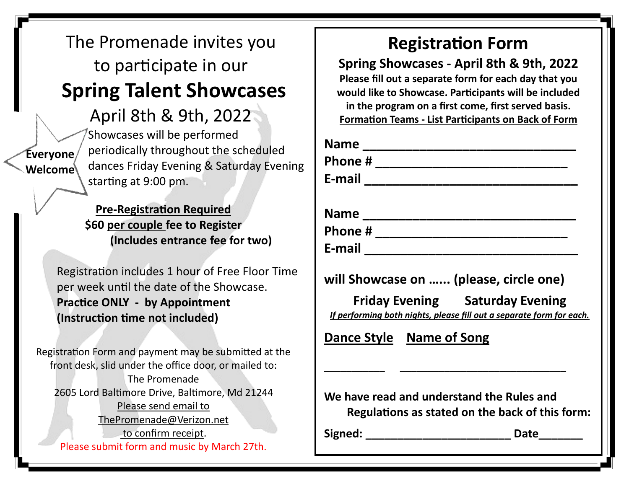## The Promenade invites you to participate in our **Spring Talent Showcases**

April 8th & 9th, 2022

**Everyone Welcome**

Showcases will be performed periodically throughout the scheduled dances Friday Evening & Saturday Evening starting at 9:00 pm.

**Pre-Registration Required \$60 per couple fee to Register (Includes entrance fee for two)**

Registration includes 1 hour of Free Floor Time per week until the date of the Showcase. **Practice ONLY - by Appointment (Instruction time not included)**

Registration Form and payment may be submitted at the front desk, slid under the office door, or mailed to: The Promenade 2605 Lord Baltimore Drive, Baltimore, Md 21244 Please send email to ThePromenade@Verizon.net to confirm receipt.

Please submit form and music by March 27th.

## **Registration Form**

**Spring Showcases - April 8th & 9th, 2022 Please fill out a separate form for each day that you would like to Showcase. Participants will be included in the program on a first come, first served basis. Formation Teams - List Participants on Back of Form**

| <b>Name</b> |  |  |
|-------------|--|--|
| Phone#      |  |  |
| E-mail      |  |  |
| <b>Name</b> |  |  |
| Phone#      |  |  |
| E-mail      |  |  |
|             |  |  |

**will Showcase on …... (please, circle one)** 

**\_\_\_\_\_\_\_\_\_\_\_ \_\_\_\_\_\_\_\_\_\_\_\_\_\_\_\_\_\_\_\_\_\_\_\_\_\_\_\_\_\_**

 **Friday Evening Saturday Evening** *If performing both nights, please fill out a separate form for each.* 

**Dance Style Name of Song**

**We have read and understand the Rules and Regulations as stated on the back of this form:**

Signed: **Date**